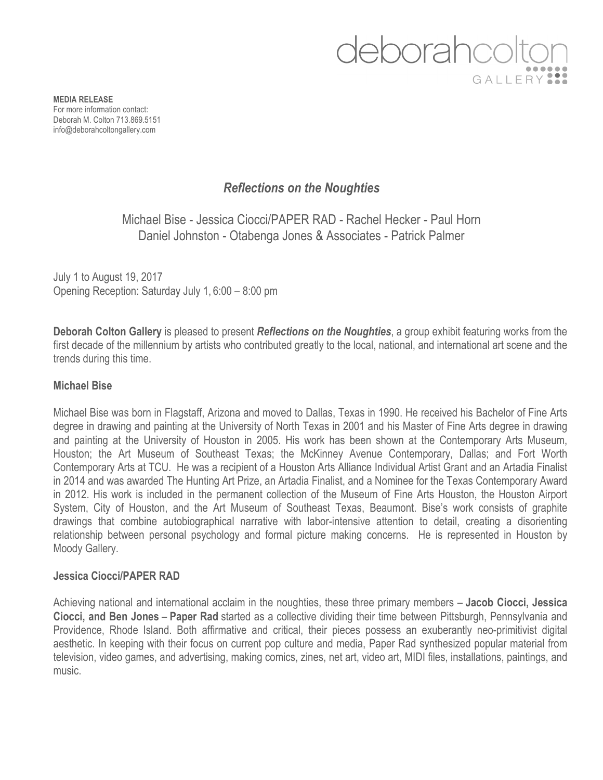# deborahcol GALLERY<sup>9</sup>

**MEDIA RELEASE** For more information contact: Deborah M. Colton 713.869.5151 info@deborahcoltongallery.com

## *Reflections on the Noughties*

Michael Bise - Jessica Ciocci/PAPER RAD - Rachel Hecker - Paul Horn Daniel Johnston - Otabenga Jones & Associates - Patrick Palmer

July 1 to August 19, 2017 Opening Reception: Saturday July 1, 6:00 – 8:00 pm

**Deborah Colton Gallery** is pleased to present *Reflections on the Noughties*, a group exhibit featuring works from the first decade of the millennium by artists who contributed greatly to the local, national, and international art scene and the trends during this time.

#### **Michael Bise**

Michael Bise was born in Flagstaff, Arizona and moved to Dallas, Texas in 1990. He received his Bachelor of Fine Arts degree in drawing and painting at the University of North Texas in 2001 and his Master of Fine Arts degree in drawing and painting at the University of Houston in 2005. His work has been shown at the Contemporary Arts Museum, Houston; the Art Museum of Southeast Texas; the McKinney Avenue Contemporary, Dallas; and Fort Worth Contemporary Arts at TCU. He was a recipient of a Houston Arts Alliance Individual Artist Grant and an Artadia Finalist in 2014 and was awarded The Hunting Art Prize, an Artadia Finalist, and a Nominee for the Texas Contemporary Award in 2012. His work is included in the permanent collection of the Museum of Fine Arts Houston, the Houston Airport System, City of Houston, and the Art Museum of Southeast Texas, Beaumont. Bise's work consists of graphite drawings that combine autobiographical narrative with labor-intensive attention to detail, creating a disorienting relationship between personal psychology and formal picture making concerns. He is represented in Houston by Moody Gallery.

#### **Jessica Ciocci/PAPER RAD**

Achieving national and international acclaim in the noughties, these three primary members – **Jacob Ciocci, Jessica Ciocci, and Ben Jones** – **Paper Rad** started as a collective dividing their time between Pittsburgh, Pennsylvania and Providence, Rhode Island. Both affirmative and critical, their pieces possess an exuberantly neo-primitivist digital aesthetic. In keeping with their focus on current pop culture and media, Paper Rad synthesized popular material from television, video games, and advertising, making comics, zines, net art, video art, MIDI files, installations, paintings, and music.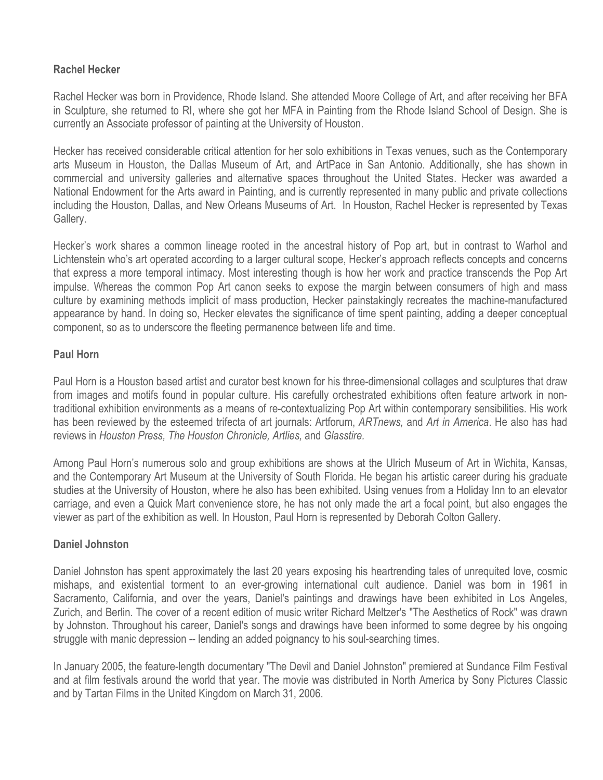### **Rachel Hecker**

Rachel Hecker was born in Providence, Rhode Island. She attended Moore College of Art, and after receiving her BFA in Sculpture, she returned to RI, where she got her MFA in Painting from the Rhode Island School of Design. She is currently an Associate professor of painting at the University of Houston.

Hecker has received considerable critical attention for her solo exhibitions in Texas venues, such as the Contemporary arts Museum in Houston, the Dallas Museum of Art, and ArtPace in San Antonio. Additionally, she has shown in commercial and university galleries and alternative spaces throughout the United States. Hecker was awarded a National Endowment for the Arts award in Painting, and is currently represented in many public and private collections including the Houston, Dallas, and New Orleans Museums of Art. In Houston, Rachel Hecker is represented by Texas Gallery.

Hecker's work shares a common lineage rooted in the ancestral history of Pop art, but in contrast to Warhol and Lichtenstein who's art operated according to a larger cultural scope, Hecker's approach reflects concepts and concerns that express a more temporal intimacy. Most interesting though is how her work and practice transcends the Pop Art impulse. Whereas the common Pop Art canon seeks to expose the margin between consumers of high and mass culture by examining methods implicit of mass production, Hecker painstakingly recreates the machine-manufactured appearance by hand. In doing so, Hecker elevates the significance of time spent painting, adding a deeper conceptual component, so as to underscore the fleeting permanence between life and time.

#### **Paul Horn**

Paul Horn is a Houston based artist and curator best known for his three-dimensional collages and sculptures that draw from images and motifs found in popular culture. His carefully orchestrated exhibitions often feature artwork in nontraditional exhibition environments as a means of re-contextualizing Pop Art within contemporary sensibilities. His work has been reviewed by the esteemed trifecta of art journals: Artforum, *ARTnews,* and *Art in America*. He also has had reviews in *Houston Press, The Houston Chronicle, Artlies,* and *Glasstire.* 

Among Paul Horn's numerous solo and group exhibitions are shows at the Ulrich Museum of Art in Wichita, Kansas, and the Contemporary Art Museum at the University of South Florida. He began his artistic career during his graduate studies at the University of Houston, where he also has been exhibited. Using venues from a Holiday Inn to an elevator carriage, and even a Quick Mart convenience store, he has not only made the art a focal point, but also engages the viewer as part of the exhibition as well. In Houston, Paul Horn is represented by Deborah Colton Gallery.

#### **Daniel Johnston**

Daniel Johnston has spent approximately the last 20 years exposing his heartrending tales of unrequited love, cosmic mishaps, and existential torment to an ever-growing international cult audience. Daniel was born in 1961 in Sacramento, California, and over the years, Daniel's paintings and drawings have been exhibited in Los Angeles, Zurich, and Berlin. The cover of a recent edition of music writer Richard Meltzer's "The Aesthetics of Rock" was drawn by Johnston. Throughout his career, Daniel's songs and drawings have been informed to some degree by his ongoing struggle with manic depression -- lending an added poignancy to his soul-searching times.

In January 2005, the feature-length documentary "The Devil and Daniel Johnston" premiered at Sundance Film Festival and at film festivals around the world that year. The movie was distributed in North America by Sony Pictures Classic and by Tartan Films in the United Kingdom on March 31, 2006.